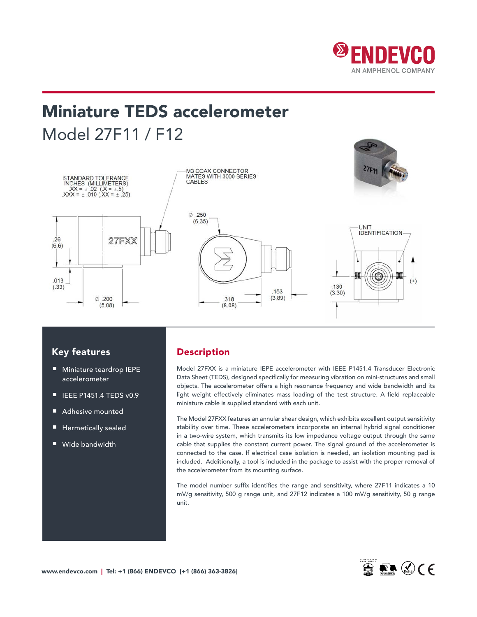

# Miniature TEDS accelerometer Model 27F11 / F12



### Key features

- Miniature teardrop IEPE accelerometer
- IEEE P1451.4 TEDS v0.9
- Adhesive mounted
- Hermetically sealed
- Wide bandwidth

# Description

Model 27FXX is a miniature IEPE accelerometer with IEEE P1451.4 Transducer Electronic Data Sheet (TEDS), designed specifically for measuring vibration on mini-structures and small objects. The accelerometer offers a high resonance frequency and wide bandwidth and its light weight effectively eliminates mass loading of the test structure. A field replaceable miniature cable is supplied standard with each unit.

The Model 27FXX features an annular shear design, which exhibits excellent output sensitivity stability over time. These accelerometers incorporate an internal hybrid signal conditioner in a two-wire system, which transmits its low impedance voltage output through the same cable that supplies the constant current power. The signal ground of the accelerometer is connected to the case. If electrical case isolation is needed, an isolation mounting pad is included. Additionally, a tool is included in the package to assist with the proper removal of the accelerometer from its mounting surface.

The model number suffix identifies the range and sensitivity, where 27F11 indicates a 10 mV/g sensitivity, 500 g range unit, and 27F12 indicates a 100 mV/g sensitivity, 50 g range unit.

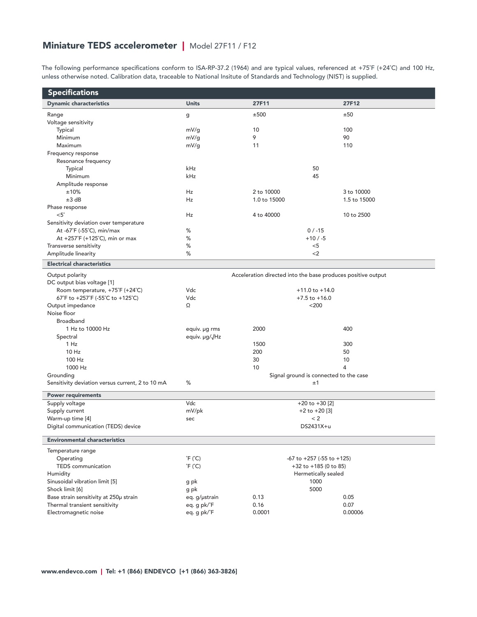# Miniature TEDS accelerometer | Model 27F11 / F12

The following performance specifications conform to ISA-RP-37.2 (1964) and are typical values, referenced at +75˚F (+24˚C) and 100 Hz, unless otherwise noted. Calibration data, traceable to National Insitute of Standards and Technology (NIST) is supplied.

| <b>Specifications</b>                            |                            |                                        |                                                              |  |  |
|--------------------------------------------------|----------------------------|----------------------------------------|--------------------------------------------------------------|--|--|
| <b>Dynamic characteristics</b>                   | <b>Units</b>               | 27F11                                  | 27F12                                                        |  |  |
| Range                                            | g                          | ±500                                   | ±50                                                          |  |  |
| Voltage sensitivity                              |                            |                                        |                                                              |  |  |
| Typical                                          | mV/q                       | 10                                     | 100                                                          |  |  |
| Minimum                                          | mV/g                       | 9                                      | 90                                                           |  |  |
| Maximum                                          | mV/g                       | 11                                     | 110                                                          |  |  |
| Frequency response                               |                            |                                        |                                                              |  |  |
| Resonance frequency                              |                            |                                        |                                                              |  |  |
| Typical                                          | kHz                        |                                        | 50                                                           |  |  |
| Minimum                                          | kHz                        |                                        | 45                                                           |  |  |
| Amplitude response                               |                            |                                        |                                                              |  |  |
| ±10%                                             | Hz                         | 2 to 10000                             | 3 to 10000                                                   |  |  |
| ±3 dB                                            | Hz                         | 1.0 to 15000                           | 1.5 to 15000                                                 |  |  |
| Phase response                                   |                            |                                        |                                                              |  |  |
| $<5^\circ$                                       | Hz                         | 4 to 40000                             | 10 to 2500                                                   |  |  |
| Sensitivity deviation over temperature           |                            |                                        |                                                              |  |  |
| At -67°F (-55°C), min/max                        | %                          | $0/ -15$                               |                                                              |  |  |
| At +257°F (+125°C), min or max                   | %                          |                                        | $+10/ -5$                                                    |  |  |
| Transverse sensitivity                           | %                          | $<$ 5                                  |                                                              |  |  |
| Amplitude linearity                              | %                          |                                        | $<$ 2                                                        |  |  |
| <b>Electrical characteristics</b>                |                            |                                        |                                                              |  |  |
| Output polarity                                  |                            |                                        | Acceleration directed into the base produces positive output |  |  |
| DC output bias voltage [1]                       |                            |                                        |                                                              |  |  |
| Room temperature, +75°F (+24°C)                  | Vdc                        | $+11.0$ to $+14.0$                     |                                                              |  |  |
| 67°F to +257°F (-55°C to +125°C)                 | Vdc                        | $+7.5$ to $+16.0$                      |                                                              |  |  |
| Output impedance                                 | Ω                          |                                        | $<$ 200                                                      |  |  |
| Noise floor                                      |                            |                                        |                                                              |  |  |
| Broadband                                        |                            |                                        |                                                              |  |  |
| 1 Hz to 10000 Hz                                 | equiv. µg rms              | 2000                                   | 400                                                          |  |  |
| Spectral                                         | equiv. µg/√Hz              |                                        |                                                              |  |  |
| 1 Hz                                             |                            | 1500                                   | 300                                                          |  |  |
| $10$ Hz                                          |                            | 200                                    | 50                                                           |  |  |
| 100 Hz                                           |                            | 30                                     | 10                                                           |  |  |
| 1000 Hz                                          |                            | 10                                     | 4                                                            |  |  |
| Grounding                                        |                            | Signal ground is connected to the case |                                                              |  |  |
| Sensitivity deviation versus current, 2 to 10 mA | %                          |                                        | ±1                                                           |  |  |
| <b>Power requirements</b>                        |                            |                                        |                                                              |  |  |
| Supply voltage                                   | Vdc                        | $+20$ to $+30$ [2]                     |                                                              |  |  |
| Supply current                                   | mV/pk                      | $+2$ to $+20$ [3]                      |                                                              |  |  |
| Warm-up time [4]                                 | sec                        | < 2                                    |                                                              |  |  |
| Digital communication (TEDS) device              |                            |                                        | DS2431X+u                                                    |  |  |
| <b>Environmental characteristics</b>             |                            |                                        |                                                              |  |  |
| Temperature range                                |                            |                                        |                                                              |  |  |
| Operating                                        | $\hat{F}$ ( $\hat{C}$ )    |                                        | $-67$ to $+257$ ( $-55$ to $+125$ )                          |  |  |
| <b>TEDS</b> communication                        | $\degree$ F ( $\degree$ C) | +32 to +185 (0 to 85)                  |                                                              |  |  |
| Humidity                                         |                            | Hermetically sealed                    |                                                              |  |  |
| Sinusoidal vibration limit [5]                   | g pk                       | 1000                                   |                                                              |  |  |
| Shock limit [6]                                  | g pk                       |                                        | 5000                                                         |  |  |
| Base strain sensitivity at 250µ strain           | eq. g/µstrain              | 0.13                                   | 0.05                                                         |  |  |
| Thermal transient sensitivity                    | eq. g pk/°F                | 0.16                                   | 0.07                                                         |  |  |
| Electromagnetic noise                            | eq. g pk/°F                | 0.0001                                 | 0.00006                                                      |  |  |
|                                                  |                            |                                        |                                                              |  |  |